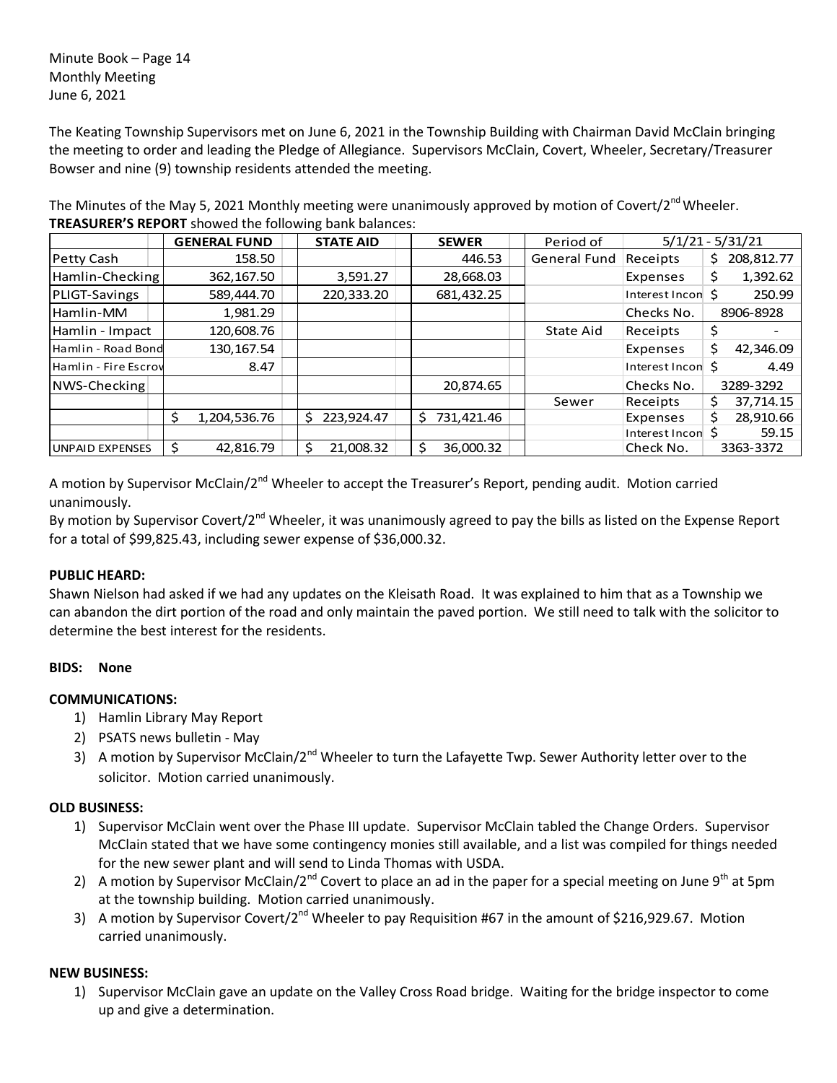Minute Book – Page 14 Monthly Meeting June 6, 2021

The Keating Township Supervisors met on June 6, 2021 in the Township Building with Chairman David McClain bringing the meeting to order and leading the Pledge of Allegiance. Supervisors McClain, Covert, Wheeler, Secretary/Treasurer Bowser and nine (9) township residents attended the meeting.

The Minutes of the May 5, 2021 Monthly meeting were unanimously approved by motion of Covert/2<sup>nd</sup> Wheeler. **TREASURER'S REPORT** showed the following bank balances:

|                        |    | <b>GENERAL FUND</b> | <b>STATE AID</b> | <b>SEWER</b>     | Period of           | $5/1/21 - 5/31/21$ |     |            |
|------------------------|----|---------------------|------------------|------------------|---------------------|--------------------|-----|------------|
| Petty Cash             |    | 158.50              |                  | 446.53           | <b>General Fund</b> | Receipts           | Ş.  | 208,812.77 |
| Hamlin-Checking        |    | 362,167.50          | 3,591.27         | 28,668.03        |                     | Expenses           | \$. | 1,392.62   |
| PLIGT-Savings          |    | 589,444.70          | 220,333.20       | 681,432.25       |                     | Interest Incon S   |     | 250.99     |
| Hamlin-MM              |    | 1,981.29            |                  |                  |                     | Checks No.         |     | 8906-8928  |
| Hamlin - Impact        |    | 120,608.76          |                  |                  | State Aid           | Receipts           | \$  |            |
| Hamlin - Road Bond     |    | 130, 167.54         |                  |                  |                     | Expenses           | Ś.  | 42,346.09  |
| Hamlin - Fire Escrov   |    | 8.47                |                  |                  |                     | Interest Incon \$  |     | 4.49       |
| NWS-Checking           |    |                     |                  | 20,874.65        |                     | Checks No.         |     | 3289-3292  |
|                        |    |                     |                  |                  | Sewer               | Receipts           | S.  | 37,714.15  |
|                        | \$ | 1,204,536.76        | \$223,924.47     | 731,421.46<br>S. |                     | Expenses           | Ś.  | 28,910.66  |
|                        |    |                     |                  |                  |                     | Interest Incon \$  |     | 59.15      |
| <b>UNPAID EXPENSES</b> | Ś  | 42,816.79           | 21,008.32        | 36,000.32<br>\$. |                     | Check No.          |     | 3363-3372  |

A motion by Supervisor McClain/2<sup>nd</sup> Wheeler to accept the Treasurer's Report, pending audit. Motion carried unanimously.

By motion by Supervisor Covert/2<sup>nd</sup> Wheeler, it was unanimously agreed to pay the bills as listed on the Expense Report for a total of \$99,825.43, including sewer expense of \$36,000.32.

# **PUBLIC HEARD:**

Shawn Nielson had asked if we had any updates on the Kleisath Road. It was explained to him that as a Township we can abandon the dirt portion of the road and only maintain the paved portion. We still need to talk with the solicitor to determine the best interest for the residents.

# **BIDS: None**

# **COMMUNICATIONS:**

- 1) Hamlin Library May Report
- 2) PSATS news bulletin May
- 3) A motion by Supervisor McClain/2<sup>nd</sup> Wheeler to turn the Lafayette Twp. Sewer Authority letter over to the solicitor. Motion carried unanimously.

# **OLD BUSINESS:**

- 1) Supervisor McClain went over the Phase III update. Supervisor McClain tabled the Change Orders. Supervisor McClain stated that we have some contingency monies still available, and a list was compiled for things needed for the new sewer plant and will send to Linda Thomas with USDA.
- 2) A motion by Supervisor McClain/2<sup>nd</sup> Covert to place an ad in the paper for a special meeting on June 9<sup>th</sup> at 5pm at the township building. Motion carried unanimously.
- 3) A motion by Supervisor Covert/2<sup>nd</sup> Wheeler to pay Requisition #67 in the amount of \$216,929.67. Motion carried unanimously.

# **NEW BUSINESS:**

1) Supervisor McClain gave an update on the Valley Cross Road bridge. Waiting for the bridge inspector to come up and give a determination.